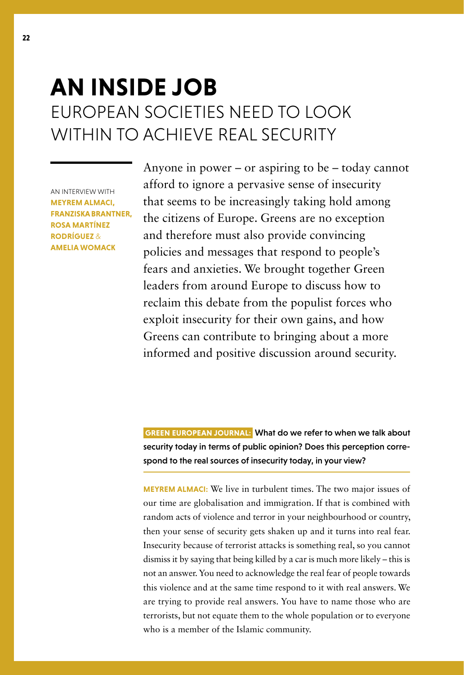## **AN INSIDE JOB** EUROPEAN SOCIETIES NEED TO LOOK WITHIN TO ACHIEVE REAL SECURITY

AN INTERVIEW WITH **MEYREM ALMACI, FRANZISKA BRANTNER, ROSA MARTÍNEZ RODRÍGUEZ** & **AMELIA WOMACK**

Anyone in power – or aspiring to be – today cannot afford to ignore a pervasive sense of insecurity that seems to be increasingly taking hold among the citizens of Europe. Greens are no exception and therefore must also provide convincing policies and messages that respond to people's fears and anxieties. We brought together Green leaders from around Europe to discuss how to reclaim this debate from the populist forces who exploit insecurity for their own gains, and how Greens can contribute to bringing about a more informed and positive discussion around security.

 **GREEN EUROPEAN JOURNAL:** What do we refer to when we talk about security today in terms of public opinion? Does this perception correspond to the real sources of insecurity today, in your view?

**MEYREM ALMACI:** We live in turbulent times. The two major issues of our time are globalisation and immigration. If that is combined with random acts of violence and terror in your neighbourhood or country, then your sense of security gets shaken up and it turns into real fear. Insecurity because of terrorist attacks is something real, so you cannot dismiss it by saying that being killed by a car is much more likely – this is not an answer. You need to acknowledge the real fear of people towards this violence and at the same time respond to it with real answers. We are trying to provide real answers. You have to name those who are terrorists, but not equate them to the whole population or to everyone who is a member of the Islamic community.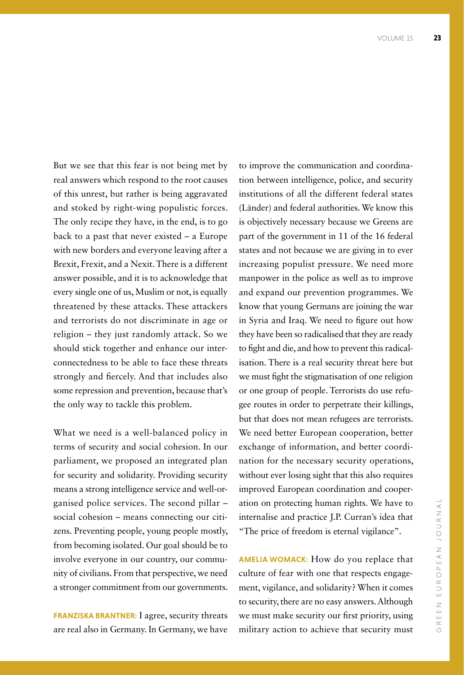But we see that this fear is not being met by real answers which respond to the root causes of this unrest, but rather is being aggravated and stoked by right-wing populistic forces. The only recipe they have, in the end, is to go back to a past that never existed – a Europe with new borders and everyone leaving after a Brexit, Frexit, and a Nexit. There is a different answer possible, and it is to acknowledge that every single one of us, Muslim or not, is equally threatened by these attacks. These attackers and terrorists do not discriminate in age or religion – they just randomly attack. So we should stick together and enhance our interconnectedness to be able to face these threats strongly and fiercely. And that includes also some repression and prevention, because that's the only way to tackle this problem.

What we need is a well-balanced policy in terms of security and social cohesion. In our parliament, we proposed an integrated plan for security and solidarity. Providing security means a strong intelligence service and well-organised police services. The second pillar – social cohesion – means connecting our citizens. Preventing people, young people mostly, from becoming isolated. Our goal should be to involve everyone in our country, our community of civilians. From that perspective, we need a stronger commitment from our governments.

**FRANZISKA BRANTNER:** I agree, security threats are real also in Germany. In Germany, we have

to improve the communication and coordination between intelligence, police, and security institutions of all the different federal states (Länder) and federal authorities. We know this is objectively necessary because we Greens are part of the government in 11 of the 16 federal states and not because we are giving in to ever increasing populist pressure. We need more manpower in the police as well as to improve and expand our prevention programmes. We know that young Germans are joining the war in Syria and Iraq. We need to figure out how they have been so radicalised that they are ready to fight and die, and how to prevent this radicalisation. There is a real security threat here but we must fight the stigmatisation of one religion or one group of people. Terrorists do use refugee routes in order to perpetrate their killings, but that does not mean refugees are terrorists. We need better European cooperation, better exchange of information, and better coordination for the necessary security operations, without ever losing sight that this also requires improved European coordination and cooperation on protecting human rights. We have to internalise and practice J.P. Curran's idea that "The price of freedom is eternal vigilance".

**AMELIA WOMACK:** How do you replace that culture of fear with one that respects engagement, vigilance, and solidarity? When it comes to security, there are no easy answers. Although we must make security our first priority, using military action to achieve that security must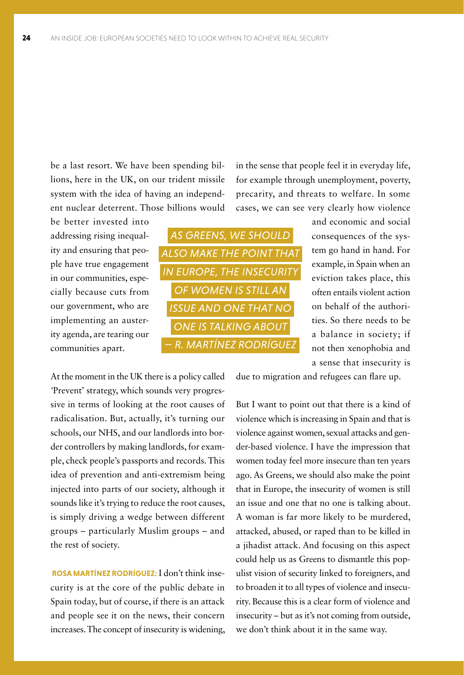be a last resort. We have been spending billions, here in the UK, on our trident missile system with the idea of having an independent nuclear deterrent. Those billions would

be better invested into addressing rising inequality and ensuring that people have true engagement in our communities, especially because cuts from our government, who are implementing an austerity agenda, are tearing our communities apart.



in the sense that people feel it in everyday life, for example through unemployment, poverty, precarity, and threats to welfare. In some cases, we can see very clearly how violence

> and economic and social consequences of the system go hand in hand. For example, in Spain when an eviction takes place, this often entails violent action on behalf of the authorities. So there needs to be a balance in society; if not then xenophobia and a sense that insecurity is

At the moment in the UK there is a policy called *'*Prevent' strategy, which sounds very progressive in terms of looking at the root causes of radicalisation. But, actually, it's turning our schools, our NHS, and our landlords into border controllers by making landlords, for example, check people's passports and records. This idea of prevention and anti-extremism being injected into parts of our society, although it sounds like it's trying to reduce the root causes, is simply driving a wedge between different groups – particularly Muslim groups – and the rest of society.

 **ROSA MARTÍNEZ RODRÍGUEZ:** I don't think insecurity is at the core of the public debate in Spain today, but of course, if there is an attack and people see it on the news, their concern increases. The concept of insecurity is widening, due to migration and refugees can flare up.

But I want to point out that there is a kind of violence which is increasing in Spain and that is violence against women, sexual attacks and gender-based violence. I have the impression that women today feel more insecure than ten years ago. As Greens, we should also make the point that in Europe, the insecurity of women is still an issue and one that no one is talking about. A woman is far more likely to be murdered, attacked, abused, or raped than to be killed in a jihadist attack. And focusing on this aspect could help us as Greens to dismantle this populist vision of security linked to foreigners, and to broaden it to all types of violence and insecurity. Because this is a clear form of violence and insecurity – but as it's not coming from outside, we don't think about it in the same way.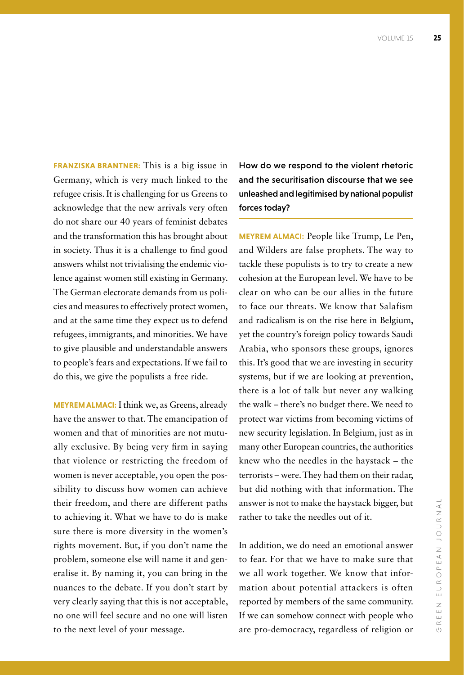**FRANZISKA BRANTNER:** This is a big issue in Germany, which is very much linked to the refugee crisis. It is challenging for us Greens to acknowledge that the new arrivals very often do not share our 40 years of feminist debates and the transformation this has brought about in society. Thus it is a challenge to find good answers whilst not trivialising the endemic violence against women still existing in Germany. The German electorate demands from us policies and measures to effectively protect women, and at the same time they expect us to defend refugees, immigrants, and minorities. We have to give plausible and understandable answers to people's fears and expectations. If we fail to do this, we give the populists a free ride.

**MEYREM ALMACI:** I think we, as Greens, already have the answer to that. The emancipation of women and that of minorities are not mutually exclusive. By being very firm in saying that violence or restricting the freedom of women is never acceptable, you open the possibility to discuss how women can achieve their freedom, and there are different paths to achieving it. What we have to do is make sure there is more diversity in the women's rights movement. But, if you don't name the problem, someone else will name it and generalise it. By naming it, you can bring in the nuances to the debate. If you don't start by very clearly saying that this is not acceptable, no one will feel secure and no one will listen to the next level of your message.

How do we respond to the violent rhetoric and the securitisation discourse that we see unleashed and legitimised by national populist forces today?

**MEYREM ALMACI:** People like Trump, Le Pen, and Wilders are false prophets. The way to tackle these populists is to try to create a new cohesion at the European level. We have to be clear on who can be our allies in the future to face our threats. We know that Salafism and radicalism is on the rise here in Belgium, yet the country's foreign policy towards Saudi Arabia, who sponsors these groups, ignores this. It's good that we are investing in security systems, but if we are looking at prevention, there is a lot of talk but never any walking the walk – there's no budget there. We need to protect war victims from becoming victims of new security legislation. In Belgium, just as in many other European countries, the authorities knew who the needles in the haystack – the terrorists – were. They had them on their radar, but did nothing with that information. The answer is not to make the haystack bigger, but rather to take the needles out of it.

In addition, we do need an emotional answer to fear. For that we have to make sure that we all work together. We know that information about potential attackers is often reported by members of the same community. If we can somehow connect with people who are pro-democracy, regardless of religion or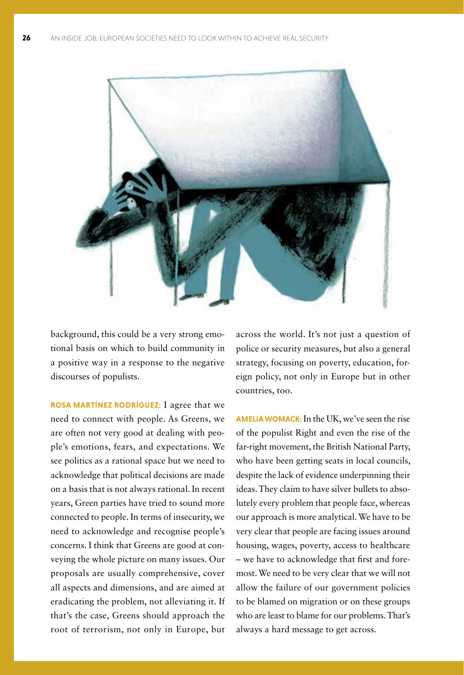

background, this could be a very strong emotional basis on which to build community in a positive way in a response to the negative discourses of populists.

**ROSA MARTÍNEZ RODRÍGUEZ:** I agree that we need to connect with people. As Greens, we are often not very good at dealing with people's emotions, fears, and expectations. We see politics as a rational space but we need to acknowledge that political decisions are made on a basis that is not always rational. In recent years, Green parties have tried to sound more connected to people. In terms of insecurity, we need to acknowledge and recognise people's concerns. I think that Greens are good at conveying the whole picture on many issues. Our proposals are usually comprehensive, cover all aspects and dimensions, and are aimed at eradicating the problem, not alleviating it. If that's the case, Greens should approach the root of terrorism, not only in Europe, but

across the world. It's not just a question of police or security measures, but also a general strategy, focusing on poverty, education, foreign policy, not only in Europe but in other countries, too.

**AMELIA WOMACK:** In the UK, we've seen the rise of the populist Right and even the rise of the far-right movement, the British National Party, who have been getting seats in local councils, despite the lack of evidence underpinning their ideas. They claim to have silver bullets to absolutely every problem that people face, whereas our approach is more analytical. We have to be very clear that people are facing issues around housing, wages, poverty, access to healthcare – we have to acknowledge that first and foremost. We need to be very clear that we will not allow the failure of our government policies to be blamed on migration or on these groups who are least to blame for our problems. That's always a hard message to get across.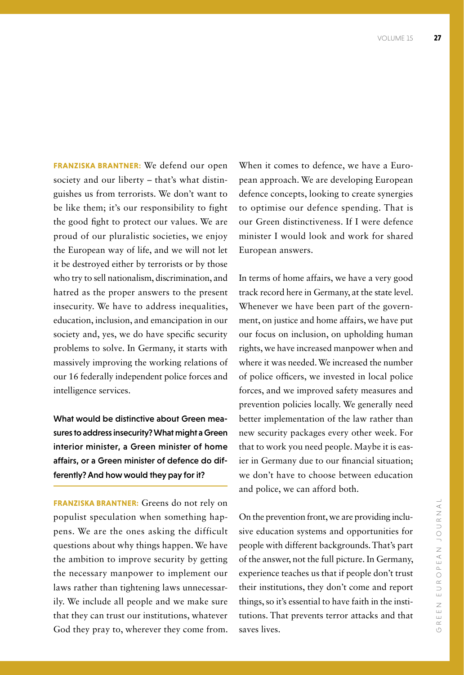**FRANZISKA BRANTNER:** We defend our open society and our liberty – that's what distinguishes us from terrorists. We don't want to be like them; it's our responsibility to fight the good fight to protect our values. We are proud of our pluralistic societies, we enjoy the European way of life, and we will not let it be destroyed either by terrorists or by those who try to sell nationalism, discrimination, and hatred as the proper answers to the present insecurity. We have to address inequalities, education, inclusion, and emancipation in our society and, yes, we do have specific security problems to solve. In Germany, it starts with massively improving the working relations of our 16 federally independent police forces and intelligence services.

What would be distinctive about Green measures to address insecurity? What might a Green interior minister, a Green minister of home affairs, or a Green minister of defence do differently? And how would they pay for it?

**FRANZISKA BRANTNER:** Greens do not rely on populist speculation when something happens. We are the ones asking the difficult questions about why things happen. We have the ambition to improve security by getting the necessary manpower to implement our laws rather than tightening laws unnecessarily. We include all people and we make sure that they can trust our institutions, whatever God they pray to, wherever they come from. When it comes to defence, we have a European approach. We are developing European defence concepts, looking to create synergies to optimise our defence spending. That is our Green distinctiveness. If I were defence minister I would look and work for shared European answers.

In terms of home affairs, we have a very good track record here in Germany, at the state level. Whenever we have been part of the government, on justice and home affairs, we have put our focus on inclusion, on upholding human rights, we have increased manpower when and where it was needed. We increased the number of police officers, we invested in local police forces, and we improved safety measures and prevention policies locally. We generally need better implementation of the law rather than new security packages every other week. For that to work you need people. Maybe it is easier in Germany due to our financial situation; we don't have to choose between education and police, we can afford both.

On the prevention front, we are providing inclusive education systems and opportunities for people with different backgrounds. That's part of the answer, not the full picture. In Germany, experience teaches us that if people don't trust their institutions, they don't come and report things, so it's essential to have faith in the institutions. That prevents terror attacks and that saves lives.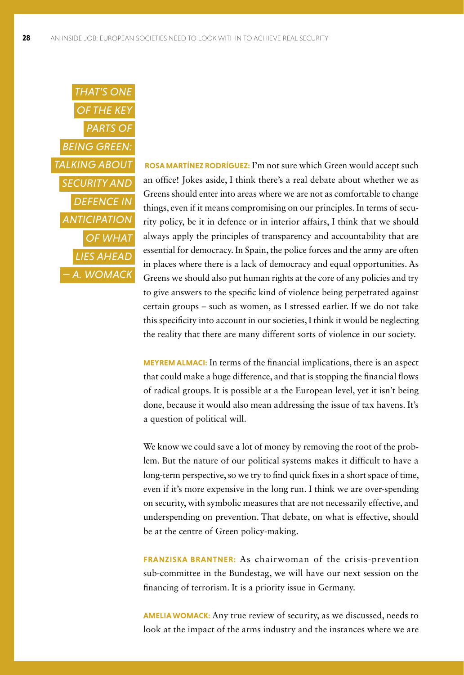

 **ROSA MARTÍNEZ RODRÍGUEZ:** I'm not sure which Green would accept such an office! Jokes aside, I think there's a real debate about whether we as Greens should enter into areas where we are not as comfortable to change things, even if it means compromising on our principles. In terms of security policy, be it in defence or in interior affairs, I think that we should always apply the principles of transparency and accountability that are essential for democracy. In Spain, the police forces and the army are often in places where there is a lack of democracy and equal opportunities. As Greens we should also put human rights at the core of any policies and try to give answers to the specific kind of violence being perpetrated against certain groups – such as women, as I stressed earlier. If we do not take this specificity into account in our societies, I think it would be neglecting the reality that there are many different sorts of violence in our society.

**MEYREM ALMACI:** In terms of the financial implications, there is an aspect that could make a huge difference, and that is stopping the financial flows of radical groups. It is possible at a the European level, yet it isn't being done, because it would also mean addressing the issue of tax havens. It's a question of political will.

We know we could save a lot of money by removing the root of the problem. But the nature of our political systems makes it difficult to have a long-term perspective, so we try to find quick fixes in a short space of time, even if it's more expensive in the long run. I think we are over-spending on security, with symbolic measures that are not necessarily effective, and underspending on prevention. That debate, on what is effective, should be at the centre of Green policy-making.

**FRANZISKA BRANTNER:** As chairwoman of the crisis-prevention sub-committee in the Bundestag, we will have our next session on the financing of terrorism. It is a priority issue in Germany.

**AMELIA WOMACK:** Any true review of security, as we discussed, needs to look at the impact of the arms industry and the instances where we are